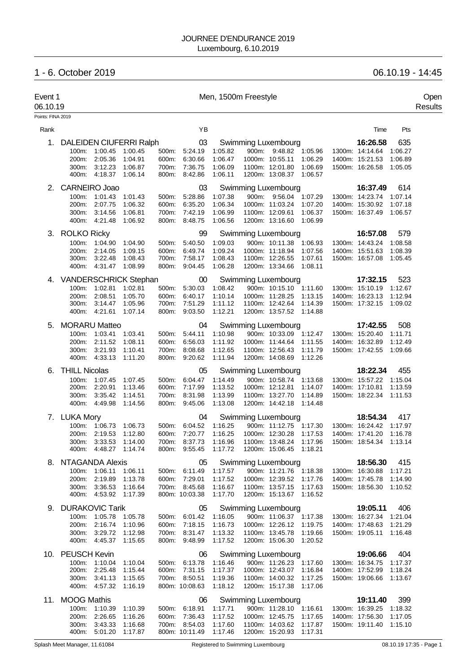# JOURNEE D'ENDURANCE 2019 Luxembourg, 6.10.2019

# 1 - 6. October 2019 06.10.19 - 14:45

| Event 1<br>06.10.19 |                              |                                                |                    |                |                                |                    | Men, 1500m Freestyle                                                     |                |                                   |                                                    |                    | Open<br>Results |
|---------------------|------------------------------|------------------------------------------------|--------------------|----------------|--------------------------------|--------------------|--------------------------------------------------------------------------|----------------|-----------------------------------|----------------------------------------------------|--------------------|-----------------|
| Points: FINA 2019   |                              |                                                |                    |                |                                |                    |                                                                          |                |                                   |                                                    |                    |                 |
| Rank                |                              |                                                |                    |                | YB                             |                    |                                                                          |                |                                   | Time                                               | Pts                |                 |
| 1.                  | DALEIDEN CIUFERRI Ralph      |                                                |                    |                | 03                             |                    | Swimming Luxembourg                                                      |                |                                   | 16:26.58                                           | 635                |                 |
|                     |                              | 100m: 1:00.45                                  | 1:00.45            |                | 500m: 5:24.19                  | 1:05.82            |                                                                          |                | 900m: 9:48.82 1:05.96             | 1300m: 14:14.64                                    | 1:06.27            |                 |
|                     | 200m:                        | 2:05.36                                        | 1:04.91            | 600m:          | 6:30.66                        | 1:06.47            | 1000m: 10:55.11                                                          |                | 1:06.29                           | 1400m: 15:21.53                                    | 1:06.89            |                 |
|                     | 300m:                        | 3:12.23<br>400m: 4:18.37                       | 1:06.87<br>1:06.14 | 700m:          | 7:36.75<br>800m: 8:42.86       | 1:06.09<br>1:06.11 | 1100m: 12:01.80<br>1200m: 13:08.37                                       |                | 1:06.69<br>1:06.57                | 1500m: 16:26.58                                    | 1:05.05            |                 |
|                     |                              |                                                |                    |                |                                |                    |                                                                          |                |                                   |                                                    |                    |                 |
| 2.                  | CARNEIRO Joao<br>100m:       | 1:01.43                                        | 1:01.43            | 500m:          | 03<br>5:28.86                  | 1:07.38            | Swimming Luxembourg<br>900m: 9:56.04                                     |                | 1:07.29                           | 16:37.49<br>1300m: 14:23.74                        | 614<br>1:07.14     |                 |
|                     | 200m:                        | 2:07.75                                        | 1:06.32            | 600m:          | 6:35.20                        | 1:06.34            | 1000m: 11:03.24                                                          |                | 1:07.20                           | 1400m: 15:30.92                                    | 1:07.18            |                 |
|                     | 300m:                        | 3:14.56                                        | 1:06.81            |                | 700m: 7:42.19                  | 1:06.99            | 1100m: 12:09.61                                                          |                | 1:06.37                           | 1500m: 16:37.49                                    | 1:06.57            |                 |
|                     | 400m:                        | 4:21.48                                        | 1:06.92            |                | 800m: 8:48.75                  | 1:06.56            | 1200m: 13:16.60                                                          |                | 1:06.99                           |                                                    |                    |                 |
| 3.                  | <b>ROLKO Ricky</b>           |                                                |                    |                | 99                             |                    | Swimming Luxembourg                                                      |                |                                   | 16:57.08                                           | 579                |                 |
|                     |                              | 100m: 1:04.90                                  | 1:04.90            | 500m:          | 5:40.50                        | 1:09.03            | 900m: 10:11.38                                                           |                | 1:06.93                           | 1300m: 14:43.24                                    | 1:08.58            |                 |
|                     | 200m:                        | 2:14.05                                        | 1:09.15            | 600m:          | 6:49.74                        | 1:09.24            | 1000m: 11:18.94                                                          |                | 1:07.56                           | 1400m: 15:51.63                                    | 1:08.39            |                 |
|                     | 300m:                        | 3:22.48                                        | 1:08.43            |                | 700m: 7:58.17                  | 1:08.43            | 1100m: 12:26.55                                                          |                | 1:07.61<br>1:08.11                | 1500m: 16:57.08                                    | 1:05.45            |                 |
|                     |                              | 400m: 4:31.47                                  | 1:08.99            |                | 800m: 9:04.45                  | 1:06.28            | 1200m: 13:34.66                                                          |                |                                   |                                                    |                    |                 |
| 4.                  | <b>VANDERSCHRICK Stephan</b> |                                                |                    |                | 00                             |                    | Swimming Luxembourg                                                      |                |                                   | 17:32.15                                           | 523                |                 |
|                     | $100m$ :<br>200m:            | 1:02.81<br>2:08.51                             | 1:02.81<br>1:05.70 | 500m:<br>600m: | 5:30.03<br>6:40.17             | 1:08.42<br>1:10.14 | 1000m: 11:28.25                                                          |                | 900m: 10:15.10 1:11.60<br>1:13.15 | 1300m: 15:10.19<br>1400m: 16:23.13                 | 1:12.67<br>1:12.94 |                 |
|                     | 300m:                        | 3:14.47                                        | 1:05.96            |                | 700m: 7:51.29                  | 1:11.12            | 1100m: 12:42.64                                                          |                | 1:14.39                           | 1500m: 17:32.15 1:09.02                            |                    |                 |
|                     | 400m:                        | 4:21.61                                        | 1:07.14            |                | 800m: 9:03.50                  | 1:12.21            | 1200m: 13:57.52                                                          |                | 1:14.88                           |                                                    |                    |                 |
| 5.                  | <b>MORARU Matteo</b>         |                                                |                    |                | 04                             |                    | Swimming Luxembourg                                                      |                |                                   | 17:42.55                                           | 508                |                 |
|                     | 100m:                        | 1:03.41                                        | 1:03.41            | 500m:          | 5:44.11                        | 1:10.98            |                                                                          |                | 900m: 10:33.09 1:12.47            | 1300m: 15:20.40                                    | 1:11.71            |                 |
|                     | 200m:                        | 2:11.52                                        | 1:08.11            | 600m:          | 6:56.03                        | 1:11.92            | 1000m: 11:44.64                                                          |                | 1:11.55                           | 1400m: 16:32.89                                    | 1:12.49            |                 |
|                     | 300m:                        | 3:21.93<br>400m: 4:33.13                       | 1:10.41<br>1:11.20 | 700m:<br>800m: | 8:08.68<br>9:20.62             | 1:12.65<br>1:11.94 | 1100m: 12:56.43<br>1200m: 14:08.69                                       |                | 1:11.79<br>1:12.26                | 1500m: 17:42.55                                    | 1:09.66            |                 |
| 6.                  | <b>THILL Nicolas</b>         |                                                |                    |                | 05                             |                    | Swimming Luxembourg                                                      |                |                                   | 18:22.34                                           | 455                |                 |
|                     |                              | 100m: 1:07.45                                  | 1:07.45            | 500m:          | 6:04.47                        | 1:14.49            |                                                                          | 900m: 10:58.74 | 1:13.68                           | 1300m: 15:57.22                                    | 1:15.04            |                 |
|                     | 200m:                        | 2:20.91                                        | 1:13.46            | 600m:          | 7:17.99                        | 1:13.52            | 1000m: 12:12.81                                                          |                | 1:14.07                           | 1400m: 17:10.81                                    | 1:13.59            |                 |
|                     | 300m:                        | 3:35.42                                        | 1:14.51            |                | 700m: 8:31.98                  | 1:13.99            | 1100m: 13:27.70                                                          |                | 1:14.89                           | 1500m: 18:22.34                                    | 1:11.53            |                 |
|                     |                              | 400m: 4:49.98                                  | 1:14.56            |                | 800m: 9:45.06                  | 1:13.08            | 1200m: 14:42.18                                                          |                | 1:14.48                           |                                                    |                    |                 |
|                     | 7. LUKA Mory                 |                                                |                    |                | 04                             |                    | Swimming Luxembourg                                                      |                |                                   | 18:54.34                                           | 417                |                 |
|                     |                              | 100m: 1:06.73                                  | 1.06.73            | 500m:          | 6:04.52                        | 1:16.25            |                                                                          |                | 900m: 11:12.75 1:17.30            | 1300m: 16:24.42                                    | 1:17.97            |                 |
|                     | 200m:                        | 2:19.53                                        | 1:12.80            |                | 600m: 7:20.77                  | 1:16.25            | 1000m: 12:30.28                                                          |                | 1:17.53                           | 1400m: 17:41.20                                    | 1:16.78            |                 |
|                     |                              | 300m: 3:33.53 1:14.00<br>400m: 4:48.27 1:14.74 |                    |                | 700m: 8:37.73                  | 1:16.96            | 1100m: 13:48.24 1:17.96<br>800m: 9:55.45 1:17.72 1200m: 15:06.45 1:18.21 |                |                                   | 1500m: 18:54.34 1:13.14                            |                    |                 |
| 8.                  | NTAGANDA Alexis              |                                                |                    |                | 05                             |                    | Swimming Luxembourg                                                      |                |                                   | 18:56.30                                           | 415                |                 |
|                     |                              | 100m: 1:06.11                                  | 1:06.11            |                | 500m: 6:11.49                  | 1:17.57            |                                                                          |                | 900m: 11:21.76 1:18.38            | 1300m: 16:30.88 1:17.21                            |                    |                 |
|                     | 200m:                        | 2:19.89                                        | 1:13.78            |                | 600m: 7:29.01                  | 1:17.52            | 1000m: 12:39.52 1:17.76                                                  |                |                                   | 1400m: 17:45.78 1:14.90                            |                    |                 |
|                     |                              | 300m: 3:36.53                                  | 1:16.64            |                | 700m: 8:45.68                  | 1:16.67            | 1100m: 13:57.15 1:17.63                                                  |                |                                   | 1500m: 18:56.30 1:10.52                            |                    |                 |
|                     |                              | 400m: 4:53.92 1:17.39                          |                    |                | 800m: 10:03.38                 | 1:17.70            | 1200m: 15:13.67 1:16.52                                                  |                |                                   |                                                    |                    |                 |
| 9.                  | <b>DURAKOVIC Tarik</b>       |                                                |                    |                | 05                             |                    | Swimming Luxembourg                                                      |                |                                   | 19:05.11                                           | 406                |                 |
|                     |                              | 100m: 1:05.78                                  | 1:05.78            |                | 500m: 6:01.42                  | 1:16.05            |                                                                          |                | 900m: 11:06.37 1:17.38            | 1300m: 16:27.34 1:21.04                            |                    |                 |
|                     | 300m:                        | 200m: 2:16.74 1:10.96                          |                    |                | 600m: 7:18.15                  | 1:16.73            | 1000m: 12:26.12 1:19.75<br>1100m: 13:45.78 1:19.66                       |                |                                   | 1400m: 17:48.63 1:21.29<br>1500m: 19:05.11 1:16.48 |                    |                 |
|                     |                              | 3:29.72<br>400m: 4:45.37                       | 1:12.98<br>1:15.65 |                | 700m: 8:31.47<br>800m: 9:48.99 | 1:13.32<br>1:17.52 | 1200m: 15:06.30 1:20.52                                                  |                |                                   |                                                    |                    |                 |
|                     | 10. PEUSCH Kevin             |                                                |                    |                | 06                             |                    | Swimming Luxembourg                                                      |                |                                   | 19:06.66                                           | 404                |                 |
|                     |                              | 100m: 1:10.04                                  | 1:10.04            |                | 500m: 6:13.78                  | 1:16.46            |                                                                          |                | 900m: 11:26.23 1:17.60            | 1300m: 16:34.75 1:17.37                            |                    |                 |
|                     |                              | 200m: 2:25.48                                  | 1:15.44            |                | 600m: 7:31.15                  | 1:17.37            | 1000m: 12:43.07 1:16.84                                                  |                |                                   | 1400m: 17:52.99 1:18.24                            |                    |                 |
|                     |                              | 300m: 3:41.13                                  | 1:15.65            |                | 700m: 8:50.51                  | 1:19.36            | 1100m: 14:00.32 1:17.25                                                  |                |                                   | 1500m: 19:06.66 1:13.67                            |                    |                 |
|                     |                              | 400m: 4:57.32 1:16.19                          |                    |                | 800m: 10:08.63                 | 1:18.12            | 1200m: 15:17.38 1:17.06                                                  |                |                                   |                                                    |                    |                 |
| 11.                 | <b>MOOG Mathis</b>           |                                                |                    |                | 06                             |                    | Swimming Luxembourg                                                      |                |                                   | 19:11.40                                           | 399                |                 |
|                     |                              | 100m: 1:10.39 1:10.39                          |                    |                | 500m: 6:18.91                  | 1:17.71            |                                                                          |                | 900m: 11:28.10 1:16.61            | 1300m: 16:39.25 1:18.32                            |                    |                 |
|                     |                              | 200m: 2.26.65 1:16.26<br>300m: 3:43.33         | 1:16.68            |                | 600m: 7:36.43<br>700m: 8:54.03 | 1:17.52<br>1:17.60 | 1000m: 12:45.75 1:17.65<br>1100m: 14:03.62 1:17.87                       |                |                                   | 1400m: 17:56.30 1:17.05<br>1500m: 19:11.40 1:15.10 |                    |                 |
|                     |                              | 400m: 5:01.20 1:17.87                          |                    |                | 800m: 10:11.49 1:17.46         |                    | 1200m: 15:20.93 1:17.31                                                  |                |                                   |                                                    |                    |                 |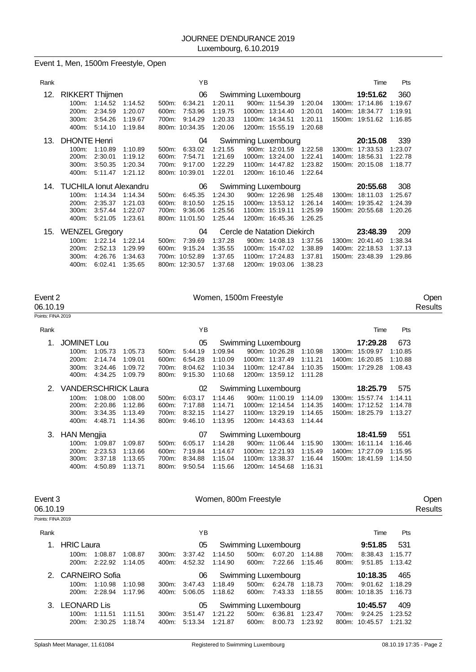|  |  |  | Event 1, Men, 1500m Freestyle, Open |  |
|--|--|--|-------------------------------------|--|
|--|--|--|-------------------------------------|--|

| Rank |                                |         |         |          | ΥB             |         |                             |         |        | Time            | Pts     |
|------|--------------------------------|---------|---------|----------|----------------|---------|-----------------------------|---------|--------|-----------------|---------|
| 12.  | <b>RIKKERT Thijmen</b>         |         |         |          | 06             |         | Swimming Luxembourg         |         |        | 19:51.62        | 360     |
|      | 100m:                          | 1:14.52 | 1:14.52 | 500m:    | 6:34.21        | 1:20.11 | 900m: 11:54.39              | 1:20.04 | 1300m: | 17:14.86        | 1:19.67 |
|      | 200m:                          | 2:34.59 | 1:20.07 | 600m:    | 7:53.96        | 1:19.75 | 1000m: 13:14.40             | 1:20.01 |        | 1400m: 18:34.77 | 1:19.91 |
|      | 300m:                          | 3:54.26 | 1:19.67 | 700m:    | 9:14.29        | 1:20.33 | 1100m: 14:34.51             | 1:20.11 |        | 1500m: 19:51.62 | 1:16.85 |
|      | 400m:                          | 5:14.10 | 1:19.84 |          | 800m: 10:34.35 | 1:20.06 | 1200m: 15:55.19             | 1:20.68 |        |                 |         |
| 13.  | <b>DHONTE Henri</b>            |         |         |          | 04             |         | Swimming Luxembourg         |         |        | 20:15.08        | 339     |
|      | 100m:                          | 1:10.89 | 1:10.89 | 500m:    | 6:33.02        | 1:21.55 | 900m: 12:01.59              | 1:22.58 | 1300m: | 17:33.53        | 1:23.07 |
|      | 200m:                          | 2:30.01 | 1:19.12 | 600m:    | 7:54.71        | 1:21.69 | 1000m: 13:24.00             | 1:22.41 |        | 1400m: 18:56.31 | 1:22.78 |
|      | 300m:                          | 3:50.35 | 1:20.34 | 700m:    | 9:17.00        | 1:22.29 | 1100m: 14:47.82             | 1:23.82 |        | 1500m: 20:15.08 | 1:18.77 |
|      | 400m:                          | 5:11.47 | 1:21.12 |          | 800m: 10:39.01 | 1:22.01 | 1200m: 16:10.46             | 1:22.64 |        |                 |         |
| 14.  | <b>TUCHILA Ionut Alexandru</b> |         |         |          | 06             |         | Swimming Luxembourg         |         |        | 20:55.68        | 308     |
|      | $100m$ :                       | 1:14.34 | 1:14.34 | $500m$ : | 6:45.35        | 1:24.30 | 900m: 12:26.98              | 1:25.48 | 1300m: | 18:11.03        | 1:25.67 |
|      | 200m:                          | 2:35.37 | 1:21.03 | 600m:    | 8:10.50        | 1:25.15 | 1000m: 13:53.12             | 1:26.14 |        | 1400m: 19:35.42 | 1:24.39 |
|      | 300m:                          | 3:57.44 | 1:22.07 | 700m:    | 9:36.06        | 1:25.56 | 1100m: 15:19.11             | 1:25.99 |        | 1500m: 20:55.68 | 1:20.26 |
|      | 400m:                          | 5:21.05 | 1:23.61 |          | 800m: 11:01.50 | 1:25.44 | 1200m: 16:45.36             | 1:26.25 |        |                 |         |
| 15.  | <b>WENZEL Gregory</b>          |         |         |          | 04             |         | Cercle de Natation Diekirch |         |        | 23:48.39        | 209     |
|      | 100m:                          | 1:22.14 | 1:22.14 | 500m:    | 7:39.69        | 1:37.28 | 900m: 14:08.13              | 1:37.56 | 1300m: | 20:41.40        | 1:38.34 |
|      | 200m:                          | 2:52.13 | 1:29.99 | 600m:    | 9:15.24        | 1:35.55 | 1000m: 15:47.02             | 1:38.89 |        | 1400m: 22:18.53 | 1:37.13 |
|      | 300m:                          | 4:26.76 | 1:34.63 |          | 700m: 10:52.89 | 1:37.65 | 1100m: 17:24.83             | 1:37.81 |        | 1500m: 23:48.39 | 1:29.86 |
|      | 400m:                          | 6:02.41 | 1:35.65 |          | 800m: 12:30.57 | 1:37.68 | 1200m: 19:03.06             | 1:38.23 |        |                 |         |

| Event 2           | Women, 1500m Freestyle | Oper    |
|-------------------|------------------------|---------|
| 06.10.19          |                        | Results |
| Points: FINA 2019 |                        |         |

| Rank |                            |         |         |       | ΥB      |         |                     |         | Time            | Pts     |
|------|----------------------------|---------|---------|-------|---------|---------|---------------------|---------|-----------------|---------|
| 1.   | <b>JOMINET Lou</b>         |         |         |       | 05      |         | Swimming Luxembourg |         | 17:29.28        | 673     |
|      | 100m:                      | 1:05.73 | 1:05.73 | 500m: | 5:44.19 | 1:09.94 | 900m: 10:26.28      | 1:10.98 | 1300m: 15:09.97 | 1:10.85 |
|      | 200 <sub>m</sub> :         | 2:14.74 | 1:09.01 | 600m: | 6:54.28 | 1:10.09 | 1000m: 11:37.49     | 1:11.21 | 1400m: 16:20.85 | 1:10.88 |
|      | 300m:                      | 3:24.46 | 1:09.72 | 700m: | 8:04.62 | 1:10.34 | 1100m: 12:47.84     | 1:10.35 | 1500m: 17:29.28 | 1:08.43 |
|      | 400m:                      | 4:34.25 | 1:09.79 | 800m: | 9:15.30 | 1:10.68 | 1200m: 13:59.12     | 1:11.28 |                 |         |
| 2.   | <b>VANDERSCHRICK Laura</b> |         |         |       | 02      |         | Swimming Luxembourg |         | 18:25.79        | 575     |
|      | 100m:                      | 1:08.00 | 1:08.00 | 500m: | 6:03.17 | 1:14.46 | 900m: 11:00.19      | 1:14.09 | 1300m: 15:57.74 | 1:14.11 |
|      | 200m:                      | 2:20.86 | 1:12.86 | 600m: | 7:17.88 | 1:14.71 | 1000m: 12:14.54     | 1:14.35 | 1400m: 17:12.52 | 1:14.78 |
|      | 300m:                      | 3:34.35 | 1:13.49 | 700m: | 8:32.15 | 1:14.27 | 1100m: 13:29.19     | 1:14.65 | 1500m: 18:25.79 | 1:13.27 |
|      | 400m:                      | 4:48.71 | 1:14.36 | 800m: | 9:46.10 | 1:13.95 | 1200m: 14:43.63     | 1:14.44 |                 |         |
| 3.   | <b>HAN Mengjia</b>         |         |         |       | 07      |         | Swimming Luxembourg |         | 18:41.59        | 551     |
|      | 100m:                      | 1:09.87 | 1:09.87 | 500m: | 6:05.17 | 1:14.28 | 900m: 11:06.44      | 1:15.90 | 1300m: 16:11.14 | 1:16.46 |
|      | $200m$ :                   | 2:23.53 | 1:13.66 | 600m: | 7:19.84 | 1:14.67 | 1000m: 12:21.93     | 1:15.49 | 1400m: 17:27.09 | 1:15.95 |
|      | 300m:                      | 3:37.18 | 1:13.65 | 700m: | 8:34.88 | 1:15.04 | 1100m: 13:38.37     | 1:16.44 | 1500m: 18:41.59 | 1:14.50 |
|      | 400m:                      | 4:50.89 | 1:13.71 | 800m: | 9:50.54 | 1:15.66 | 1200m: 14:54.68     | 1:16.31 |                 |         |

| Event 3<br>06.10.19 |                       |         |         |          |         | Women, 800m Freestyle |          |                            |         |       |                |         | Open<br>Results |
|---------------------|-----------------------|---------|---------|----------|---------|-----------------------|----------|----------------------------|---------|-------|----------------|---------|-----------------|
| Points: FINA 2019   |                       |         |         |          |         |                       |          |                            |         |       |                |         |                 |
| Rank                |                       |         |         |          | ΥB      |                       |          |                            |         |       | Time           | Pts     |                 |
|                     | <b>HRIC Laura</b>     |         |         |          | 05      |                       |          | Swimming Luxembourg        |         |       | 531            |         |                 |
|                     | 100m:                 | 1:08.87 | 1:08.87 | 300m:    | 3:37.42 | 1:14.50               | $500m$ : | 6:07.20                    | 1:14.88 | 700m: | 8:38.43        | 1:15.77 |                 |
|                     | 200m:                 | 2:22.92 | 1:14.05 | 400m:    | 4:52.32 | 1:14.90               | 600m:    | 7.22.66                    | 1:15.46 | 800m: | 9:51.85        | 1:13.42 |                 |
| $2^{+}$             | <b>CARNEIRO Sofia</b> |         |         |          | 06      |                       |          | <b>Swimming Luxembourg</b> |         |       | 465            |         |                 |
|                     | $100m$ :              | 1:10.98 | 1:10.98 | $300m$ : | 3:47.43 | 1:18.49               | $500m$ : | 6.24.78                    | 1:18.73 | 700m: | 9:01.62        | 1:18.29 |                 |
|                     | 200m:                 | 2:28.94 | 1:17.96 | 400m:    | 5:06.05 | 1:18.62               | 600m:    | 7:43.33                    | 1:18.55 |       | 800m: 10:18.35 | 1:16.73 |                 |
| $\mathbf{3}$        | <b>LEONARD Lis</b>    |         |         |          | 05      |                       |          | Swimming Luxembourg        |         |       | 10:45.57       | 409     |                 |
|                     | $100m$ :              | 1:11.51 | 1:11.51 | 300m:    | 3:51.47 | 1:21.22               | 500m:    | 6:36.81                    | 1:23.47 | 700m: | 9:24.25        | 1:23.52 |                 |
|                     | 200m:                 | 2:30.25 | 1:18.74 | 400m:    | 5:13.34 | 1:21.87               | 600m:    | 8:00.73                    | 1:23.92 |       | 800m: 10:45.57 | 1:21.32 |                 |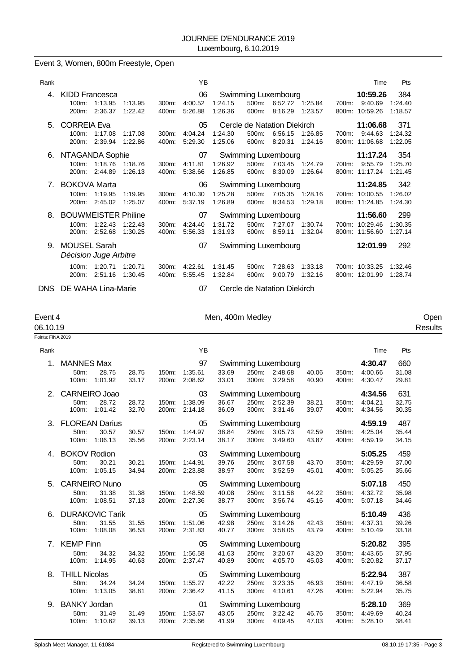# Event 3, Women, 800m Freestyle, Open

| Rank                           |                                              |                                  |                    |                   | YB                       |                    |                                               |                                  |                            |       | Time                                         | Pts                       |
|--------------------------------|----------------------------------------------|----------------------------------|--------------------|-------------------|--------------------------|--------------------|-----------------------------------------------|----------------------------------|----------------------------|-------|----------------------------------------------|---------------------------|
| 4.                             | <b>KIDD Francesca</b><br>100m:<br>$200m$ :   | 1:13.95<br>2:36.37               | 1.13.95<br>1:22.42 | 300m:<br>400m:    | 06<br>4:00.52<br>5:26.88 | 1:24.15<br>1:26.36 | Swimming Luxembourg<br>500m:<br>600m:         | 8:16.29                          | 6:52.72 1:25.84<br>1:23.57 | 700m: | 10:59.26<br>9:40.69<br>800m: 10:59.26        | 384<br>1:24.40<br>1:18.57 |
| 5.                             | <b>CORREIA Eva</b><br>100m:<br>200m:         | 1:17.08<br>2:39.94               | 1:17.08<br>1:22.86 | 300m:<br>400m:    | 05<br>4:04.24<br>5:29.30 | 1:24.30<br>1:25.06 | Cercle de Natation Diekirch<br>500m:<br>600m: | 6:56.15<br>8:20.31               | 1:26.85<br>1:24.16         | 700m: | 11:06.68<br>9:44.63<br>800m: 11:06.68        | 371<br>1:24.32<br>1:22.05 |
|                                | 6. NTAGANDA Sophie<br>200m:                  | 100m: 1:18.76 1:18.76<br>2:44.89 | 1:26.13            | $300m$ :<br>400m: | 07<br>4:11.81<br>5:38.66 | 1:26.92<br>1:26.85 | Swimming Luxembourg<br>600m:                  | 500m: 7:03.45 1:24.79<br>8:30.09 | 1:26.64                    | 700m: | 11:17.24<br>9:55.79<br>800m: 11:17.24        | 354<br>1:25.70<br>1:21.45 |
| $7_{\scriptscriptstyle{\sim}}$ | <b>BOKOVA Marta</b><br>$100m$ :<br>200m:     | 1:19.95<br>2:45.02               | 1:19.95<br>1:25.07 | 300m:<br>400m:    | 06<br>4:10.30<br>5:37.19 | 1:25.28<br>1:26.89 | Swimming Luxembourg<br>500m:<br>600m:         | 7:05.35<br>8:34.53               | 1:28.16<br>1:29.18         |       | 11:24.85<br>700m: 10:00.55<br>800m: 11:24.85 | 342<br>1:26.02<br>1:24.30 |
| 8.                             | <b>BOUWMEISTER Philine</b><br>100m:<br>200m: | 1:22.43<br>2:52.68               | 1:22.43<br>1:30.25 | 300m:<br>400m:    | 07<br>4:24.40<br>5:56.33 | 1:31.72<br>1:31.93 | Swimming Luxembourg<br>500m:<br>600m:         | 7:27.07<br>8:59.11               | 1:30.74<br>1:32.04         |       | 11:56.60<br>700m: 10:29.46<br>800m: 11:56.60 | 299<br>1:30.35<br>1:27.14 |
| 9.                             | <b>MOUSEL Sarah</b><br>Décision Juge Arbitre |                                  |                    |                   | 07                       |                    | Swimming Luxembourg                           |                                  |                            |       | 12:01.99                                     | 292                       |
|                                | $100m$ :<br>200m:<br>.                       | 1:20.71<br>2:51.16               | 1:20.71<br>1:30.45 | 300m:<br>400m:    | 4:22.61<br>5:55.45       | 1:31.45<br>1:32.84 | 500m:<br>600m:                                | 7:28.63<br>9:00.79               | 1:33.18<br>1:32.16         |       | 700m: 10:33.25<br>800m: 12:01.99             | 1:32.46<br>1:28.74        |

DNS DE WAHA Lina-Marie 07 Cercle de Natation Diekirch

# Event 4 Communication of Men, 400m Medley Communication of the Communication of Men, 400m Medley

| 06.10.19          |                                       |                                            |                |                |                                |                |                |                                                       |                |                |                               |                       | Results |
|-------------------|---------------------------------------|--------------------------------------------|----------------|----------------|--------------------------------|----------------|----------------|-------------------------------------------------------|----------------|----------------|-------------------------------|-----------------------|---------|
| Points: FINA 2019 |                                       |                                            |                |                |                                |                |                |                                                       |                |                |                               |                       |         |
| Rank              |                                       |                                            |                |                | YB                             |                |                |                                                       |                |                | Time                          | Pts                   |         |
| 1.                | <b>MANNES Max</b><br>50m:             | 28.75<br>100m: 1:01.92                     | 28.75<br>33.17 | 200m:          | 97<br>150m: 1:35.61<br>2:08.62 | 33.69<br>33.01 |                | Swimming Luxembourg<br>250m: 2:48.68<br>300m: 3:29.58 | 40.06<br>40.90 | 350m:<br>400m: | 4:30.47<br>4:00.66<br>4:30.47 | 660<br>31.08<br>29.81 |         |
| 2.                | <b>CARNEIRO Joao</b><br>50m:<br>100m: | 28.72<br>1:01.42                           | 28.72<br>32.70 | 150m:<br>200m: | 03<br>1:38.09<br>2:14.18       | 36.67<br>36.09 | 250m:<br>300m: | Swimming Luxembourg<br>2:52.39<br>3:31.46             | 38.21<br>39.07 | 350m:<br>400m: | 4:34.56<br>4:04.21<br>4:34.56 | 631<br>32.75<br>30.35 |         |
| 3.                | 50m:<br>100m:                         | <b>FLOREAN Darius</b><br>30.57<br>1:06.13  | 30.57<br>35.56 | 150m:<br>200m: | 05<br>1:44.97<br>2:23.14       | 38.84<br>38.17 |                | Swimming Luxembourg<br>250m: 3:05.73<br>300m: 3:49.60 | 42.59<br>43.87 | 350m:<br>400m: | 4:59.19<br>4:25.04<br>4:59.19 | 487<br>35.44<br>34.15 |         |
| 4.                | <b>BOKOV Rodion</b><br>50m:<br>100m:  | 30.21<br>1:05.15                           | 30.21<br>34.94 | 150m:          | 03<br>1:44.91<br>200m: 2:23.88 | 39.76<br>38.97 | 250m:<br>300m: | <b>Swimming Luxembourg</b><br>3:07.58<br>3:52.59      | 43.70<br>45.01 | 350m:<br>400m: | 5:05.25<br>4:29.59<br>5:05.25 | 459<br>37.00<br>35.66 |         |
| 5.                | 50m:<br>100m:                         | <b>CARNEIRO Nuno</b><br>31.38<br>1:08.51   | 31.38<br>37.13 | 150m:          | 05<br>1:48.59<br>200m: 2:27.36 | 40.08<br>38.77 | 250m:<br>300m: | Swimming Luxembourg<br>3:11.58<br>3:56.74             | 44.22<br>45.16 | 350m:<br>400m: | 5:07.18<br>4:32.72<br>5:07.18 | 450<br>35.98<br>34.46 |         |
| 6.                | 50m:<br>100m:                         | <b>DURAKOVIC Tarik</b><br>31.55<br>1:08.08 | 31.55<br>36.53 | 150m:          | 05<br>1:51.06<br>200m: 2:31.83 | 42.98<br>40.77 | 250m:<br>300m: | Swimming Luxembourg<br>3:14.26<br>3:58.05             | 42.43<br>43.79 | 350m:<br>400m: | 5:10.49<br>4:37.31<br>5:10.49 | 436<br>39.26<br>33.18 |         |
| 7.                | <b>KEMP Finn</b><br>50m:<br>100m:     | 34.32<br>1:14.95                           | 34.32<br>40.63 | 150m:<br>200m: | 05<br>1:56.58<br>2:37.47       | 41.63<br>40.89 | 250m:<br>300m: | Swimming Luxembourg<br>3:20.67<br>4:05.70             | 43.20<br>45.03 | 350m:<br>400m: | 5:20.82<br>4:43.65<br>5:20.82 | 395<br>37.95<br>37.17 |         |
| 8.                | <b>THILL Nicolas</b><br>50m:          | 34.24<br>100m: 1:13.05                     | 34.24<br>38.81 | 150m:          | 05<br>1:55.27<br>200m: 2:36.42 | 42.22<br>41.15 | 250m:<br>300m: | Swimming Luxembourg<br>3:23.35<br>4:10.61             | 46.93<br>47.26 | 350m:<br>400m: | 5:22.94<br>4:47.19<br>5:22.94 | 387<br>36.58<br>35.75 |         |
| 9.                | <b>BANKY Jordan</b><br>50m:<br>100m:  | 31.49<br>1:10.62                           | 31.49<br>39.13 | 150m:<br>200m: | 01<br>1:53.67<br>2:35.66       | 43.05<br>41.99 | 250m:<br>300m: | Swimming Luxembourg<br>3:22.42<br>4:09.45             | 46.76<br>47.03 | 350m:<br>400m: | 5:28.10<br>4:49.69<br>5:28.10 | 369<br>40.24<br>38.41 |         |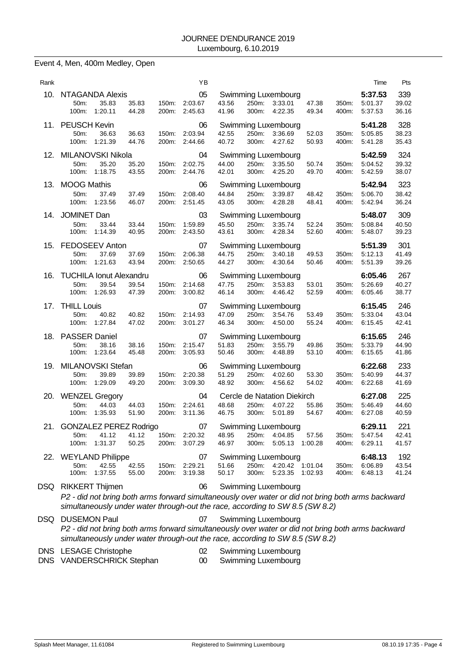Event 4, Men, 400m Medley, Open

| Rank |                                                                                                                                                                                                            |                                                                      |                | ΥB                                   |                |                |                                                                        |                |                | Time                          | Pts                   |
|------|------------------------------------------------------------------------------------------------------------------------------------------------------------------------------------------------------------|----------------------------------------------------------------------|----------------|--------------------------------------|----------------|----------------|------------------------------------------------------------------------|----------------|----------------|-------------------------------|-----------------------|
|      | 10. NTAGANDA Alexis<br>35.83<br>50m:<br>100m:<br>1:20.11                                                                                                                                                   | 35.83<br>44.28                                                       | 150m:<br>200m: | 05<br>2:03.67<br>2:45.63             | 43.56<br>41.96 | 250m:<br>300m: | Swimming Luxembourg<br>3:33.01<br>4:22.35                              | 47.38<br>49.34 | 350m:<br>400m: | 5:37.53<br>5:01.37<br>5:37.53 | 339<br>39.02<br>36.16 |
|      | 11. PEUSCH Kevin<br>50m:<br>36.63<br>100m:<br>1:21.39                                                                                                                                                      | 36.63<br>44.76                                                       | 150m:<br>200m: | 06<br>2:03.94<br>2:44.66             | 42.55<br>40.72 | 250m:<br>300m: | Swimming Luxembourg<br>3:36.69<br>4:27.62                              | 52.03<br>50.93 | 350m:<br>400m: | 5:41.28<br>5:05.85<br>5:41.28 | 328<br>38.23<br>35.43 |
|      | 12. MILANOVSKI Nikola<br>35.20<br>50m:<br>100m: 1:18.75                                                                                                                                                    | 35.20<br>43.55                                                       | 150m:<br>200m: | 04<br>2:02.75<br>2:44.76             | 44.00<br>42.01 | 250m:          | Swimming Luxembourg<br>3:35.50<br>300m: 4:25.20                        | 50.74<br>49.70 | 350m:<br>400m: | 5:42.59<br>5:04.52<br>5:42.59 | 324<br>39.32<br>38.07 |
| 13.  | <b>MOOG Mathis</b><br>50m:<br>37.49<br>100m:<br>1:23.56                                                                                                                                                    | 37.49<br>46.07                                                       | 150m:<br>200m: | 06<br>2:08.40<br>2:51.45             | 44.84<br>43.05 |                | Swimming Luxembourg<br>250m: 3:39.87<br>300m: 4:28.28                  | 48.42<br>48.41 | 350m:<br>400m: | 5:42.94<br>5:06.70<br>5:42.94 | 323<br>38.42<br>36.24 |
|      | 14. JOMINET Dan<br>50m:<br>33.44<br>100m:<br>1:14.39                                                                                                                                                       | 33.44<br>40.95                                                       | 150m:<br>200m: | 03<br>1:59.89<br>2:43.50             | 45.50<br>43.61 | 250m:<br>300m: | Swimming Luxembourg<br>3:35.74<br>4.28.34                              | 52.24<br>52.60 | 350m:<br>400m: | 5:48.07<br>5:08.84<br>5:48.07 | 309<br>40.50<br>39.23 |
|      | 15. FEDOSEEV Anton<br>50m:<br>37.69<br>100m:<br>1:21.63                                                                                                                                                    | 37.69<br>43.94                                                       | 150m:<br>200m: | 07<br>2:06.38<br>2:50.65             | 44.75<br>44.27 | 250m:<br>300m: | Swimming Luxembourg<br>3.40.18<br>4:30.64                              | 49.53<br>50.46 | 350m:<br>400m: | 5:51.39<br>5:12.13<br>5:51.39 | 301<br>41.49<br>39.26 |
| 16.  | <b>TUCHILA Ionut Alexandru</b><br>50m:<br>39.54<br>100m:<br>1:26.93                                                                                                                                        | 39.54<br>47.39                                                       | 150m.<br>200m: | 06<br>2:14.68<br>3:00.82             | 47.75<br>46.14 | 250m:<br>300m: | Swimming Luxembourg<br>3:53.83<br>4:46.42                              | 53.01<br>52.59 | 350m:<br>400m: | 6:05.46<br>5:26.69<br>6:05.46 | 267<br>40.27<br>38.77 |
|      | 17. THILL Louis<br>40.82<br>50m:<br>100m:<br>1:27.84                                                                                                                                                       | 40.82<br>47.02                                                       | 150m:<br>200m: | 07<br>2:14.93<br>3:01.27             | 47.09<br>46.34 | 250m:<br>300m: | Swimming Luxembourg<br>3:54.76<br>4:50.00                              | 53.49<br>55.24 | 350m:<br>400m: | 6:15.45<br>5:33.04<br>6:15.45 | 246<br>43.04<br>42.41 |
|      | 18. PASSER Daniel<br>50m:<br>38.16<br>100m: 1:23.64                                                                                                                                                        | 38.16<br>45.48                                                       | 150m:<br>200m: | 07<br>2:15.47<br>3:05.93             | 51.83<br>50.46 | 250m:<br>300m: | Swimming Luxembourg<br>3:55.79<br>4:48.89                              | 49.86<br>53.10 | 350m:<br>400m: | 6:15.65<br>5:33.79<br>6:15.65 | 246<br>44.90<br>41.86 |
| 19.  | MILANOVSKI Stefan<br>50m:<br>39.89<br>100m:<br>1:29.09                                                                                                                                                     | 39.89<br>49.20                                                       | 150m:<br>200m: | 06<br>2:20.38<br>3:09.30             | 51.29<br>48.92 | 300m:          | Swimming Luxembourg<br>250m: 4:02.60<br>4:56.62                        | 53.30<br>54.02 | 350m:<br>400m: | 6:22.68<br>5:40.99<br>6:22.68 | 233<br>44.37<br>41.69 |
|      | 20. WENZEL Gregory<br>50m:<br>44.03<br>100m:<br>1:35.93                                                                                                                                                    | 44.03<br>51.90                                                       | 150m:<br>200m: | 04<br>2:24.61<br>3:11.36             | 48.68<br>46.75 | 250m:<br>300m: | Cercle de Natation Diekirch<br>4:07.22<br>5:01.89                      | 55.86<br>54.67 | 350m:<br>400m: | 6:27.08<br>5:46.49<br>6:27.08 | 225<br>44.60<br>40.59 |
|      | 21. GONZALEZ PEREZ Rodrigo<br>50m: 41.12<br>100m: 1:31.37                                                                                                                                                  | 41.12 150m: 2:20.32 48.95 250m: 4:04.85 57.56 350m: 5:47.54<br>50.25 |                | 07<br>200m: 3:07.29                  | 46.97          |                | Swimming Luxembourg<br>300m: 5:05.13 1:00.28                           |                |                | 6:29.11<br>400m: 6:29.11      | 221<br>42.41<br>41.57 |
|      | 22. WEYLAND Philippe<br>50m:<br>42.55<br>100m: 1:37.55                                                                                                                                                     | 42.55<br>55.00                                                       |                | 07<br>150m: 2:29.21<br>200m: 3:19.38 | 51.66<br>50.17 | 300m:          | <b>Swimming Luxembourg</b><br>250m: 4:20.42 1:01.04<br>5:23.35 1:02.93 |                | 350m:<br>400m: | 6:48.13<br>6:06.89<br>6:48.13 | 192<br>43.54<br>41.24 |
|      | DSQ RIKKERT Thijmen<br>P2 - did not bring both arms forward simultaneously over water or did not bring both arms backward<br>simultaneously under water through-out the race, according to SW 8.5 (SW 8.2) |                                                                      |                | 06                                   |                |                | <b>Swimming Luxembourg</b>                                             |                |                |                               |                       |
| DSQ  | <b>DUSEMON Paul</b><br>P2 - did not bring both arms forward simultaneously over water or did not bring both arms backward                                                                                  |                                                                      |                | 07                                   |                |                | Swimming Luxembourg                                                    |                |                |                               |                       |

*simultaneously under water through-out the race, according to SW 8.5 (SW 8.2)*

|  | DNS LESAGE Christophe |  |
|--|-----------------------|--|
|--|-----------------------|--|

DNS VANDERSCHRICK Stephan 00 Swimming Luxembourg

02 Swimming Luxembourg